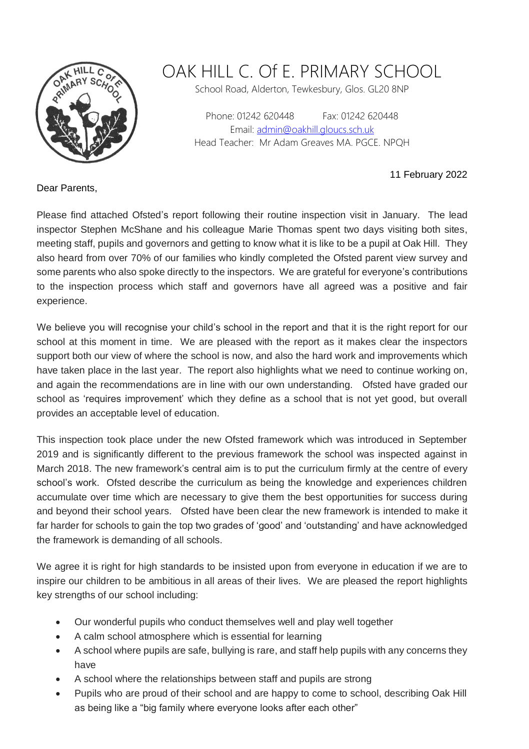

## OAK HILL C. Of E. PRIMARY SCHOOL

School Road, Alderton, Tewkesbury, Glos. GL20 8NP

Phone: 01242 620448 Fax: 01242 620448 Email: [admin@oakhill.gloucs.sch.uk](mailto:admin@oakhill.gloucs.sch.uk) Head Teacher: Mr Adam Greaves MA. PGCE. NPQH

11 February 2022

Dear Parents,

Please find attached Ofsted's report following their routine inspection visit in January. The lead inspector Stephen McShane and his colleague Marie Thomas spent two days visiting both sites, meeting staff, pupils and governors and getting to know what it is like to be a pupil at Oak Hill. They also heard from over 70% of our families who kindly completed the Ofsted parent view survey and some parents who also spoke directly to the inspectors. We are grateful for everyone's contributions to the inspection process which staff and governors have all agreed was a positive and fair experience.

We believe you will recognise your child's school in the report and that it is the right report for our school at this moment in time. We are pleased with the report as it makes clear the inspectors support both our view of where the school is now, and also the hard work and improvements which have taken place in the last year. The report also highlights what we need to continue working on, and again the recommendations are in line with our own understanding. Ofsted have graded our school as 'requires improvement' which they define as a school that is not yet good, but overall provides an acceptable level of education.

This inspection took place under the new Ofsted framework which was introduced in September 2019 and is significantly different to the previous framework the school was inspected against in March 2018. The new framework's central aim is to put the curriculum firmly at the centre of every school's work. Ofsted describe the curriculum as being the knowledge and experiences children accumulate over time which are necessary to give them the best opportunities for success during and beyond their school years. Ofsted have been clear the new framework is intended to make it far harder for schools to gain the top two grades of 'good' and 'outstanding' and have acknowledged the framework is demanding of all schools.

We agree it is right for high standards to be insisted upon from everyone in education if we are to inspire our children to be ambitious in all areas of their lives. We are pleased the report highlights key strengths of our school including:

- Our wonderful pupils who conduct themselves well and play well together
- A calm school atmosphere which is essential for learning
- A school where pupils are safe, bullying is rare, and staff help pupils with any concerns they have
- A school where the relationships between staff and pupils are strong
- Pupils who are proud of their school and are happy to come to school, describing Oak Hill as being like a "big family where everyone looks after each other"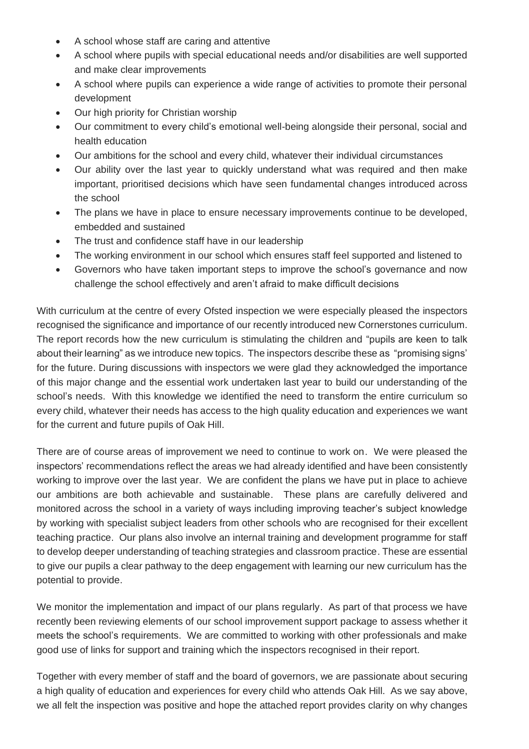- A school whose staff are caring and attentive
- A school where pupils with special educational needs and/or disabilities are well supported and make clear improvements
- A school where pupils can experience a wide range of activities to promote their personal development
- Our high priority for Christian worship
- Our commitment to every child's emotional well-being alongside their personal, social and health education
- Our ambitions for the school and every child, whatever their individual circumstances
- Our ability over the last year to quickly understand what was required and then make important, prioritised decisions which have seen fundamental changes introduced across the school
- The plans we have in place to ensure necessary improvements continue to be developed, embedded and sustained
- The trust and confidence staff have in our leadership
- The working environment in our school which ensures staff feel supported and listened to
- Governors who have taken important steps to improve the school's governance and now challenge the school effectively and aren't afraid to make difficult decisions

With curriculum at the centre of every Ofsted inspection we were especially pleased the inspectors recognised the significance and importance of our recently introduced new Cornerstones curriculum. The report records how the new curriculum is stimulating the children and "pupils are keen to talk about their learning" as we introduce new topics. The inspectors describe these as "promising signs' for the future. During discussions with inspectors we were glad they acknowledged the importance of this major change and the essential work undertaken last year to build our understanding of the school's needs. With this knowledge we identified the need to transform the entire curriculum so every child, whatever their needs has access to the high quality education and experiences we want for the current and future pupils of Oak Hill.

There are of course areas of improvement we need to continue to work on. We were pleased the inspectors' recommendations reflect the areas we had already identified and have been consistently working to improve over the last year. We are confident the plans we have put in place to achieve our ambitions are both achievable and sustainable. These plans are carefully delivered and monitored across the school in a variety of ways including improving teacher's subject knowledge by working with specialist subject leaders from other schools who are recognised for their excellent teaching practice. Our plans also involve an internal training and development programme for staff to develop deeper understanding of teaching strategies and classroom practice. These are essential to give our pupils a clear pathway to the deep engagement with learning our new curriculum has the potential to provide.

We monitor the implementation and impact of our plans regularly. As part of that process we have recently been reviewing elements of our school improvement support package to assess whether it meets the school's requirements. We are committed to working with other professionals and make good use of links for support and training which the inspectors recognised in their report.

Together with every member of staff and the board of governors, we are passionate about securing a high quality of education and experiences for every child who attends Oak Hill. As we say above, we all felt the inspection was positive and hope the attached report provides clarity on why changes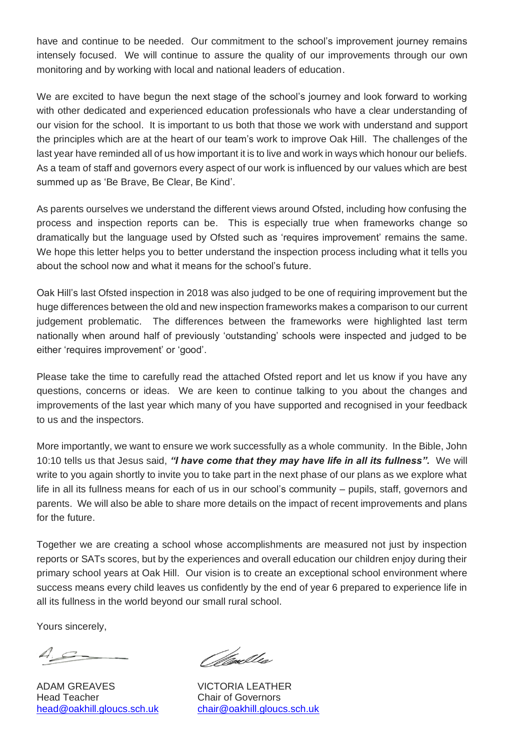have and continue to be needed. Our commitment to the school's improvement journey remains intensely focused. We will continue to assure the quality of our improvements through our own monitoring and by working with local and national leaders of education.

We are excited to have begun the next stage of the school's journey and look forward to working with other dedicated and experienced education professionals who have a clear understanding of our vision for the school. It is important to us both that those we work with understand and support the principles which are at the heart of our team's work to improve Oak Hill. The challenges of the last year have reminded all of us how important it is to live and work in ways which honour our beliefs. As a team of staff and governors every aspect of our work is influenced by our values which are best summed up as 'Be Brave, Be Clear, Be Kind'.

As parents ourselves we understand the different views around Ofsted, including how confusing the process and inspection reports can be. This is especially true when frameworks change so dramatically but the language used by Ofsted such as 'requires improvement' remains the same. We hope this letter helps you to better understand the inspection process including what it tells you about the school now and what it means for the school's future.

Oak Hill's last Ofsted inspection in 2018 was also judged to be one of requiring improvement but the huge differences between the old and new inspection frameworks makes a comparison to our current judgement problematic. The differences between the frameworks were highlighted last term nationally when around half of previously 'outstanding' schools were inspected and judged to be either 'requires improvement' or 'good'.

Please take the time to carefully read the attached Ofsted report and let us know if you have any questions, concerns or ideas. We are keen to continue talking to you about the changes and improvements of the last year which many of you have supported and recognised in your feedback to us and the inspectors.

More importantly, we want to ensure we work successfully as a whole community. In the Bible, John 10:10 tells us that Jesus said, *"I have come that they may have life in all its fullness".* We will write to you again shortly to invite you to take part in the next phase of our plans as we explore what life in all its fullness means for each of us in our school's community – pupils, staff, governors and parents. We will also be able to share more details on the impact of recent improvements and plans for the future.

Together we are creating a school whose accomplishments are measured not just by inspection reports or SATs scores, but by the experiences and overall education our children enjoy during their primary school years at Oak Hill. Our vision is to create an exceptional school environment where success means every child leaves us confidently by the end of year 6 prepared to experience life in all its fullness in the world beyond our small rural school.

Yours sincerely,

 $A_{\mathcal{S}}$ 

ADAM GREAVES VICTORIA LEATHER Head Teacher Chair of Governors

*Olivablee* 

[head@oakhill.gloucs.sch.uk](mailto:head@oakhill.gloucs.sch.uk) [chair@oakhill.gloucs.sch.uk](mailto:chair@oakhill.gloucs.sch.uk)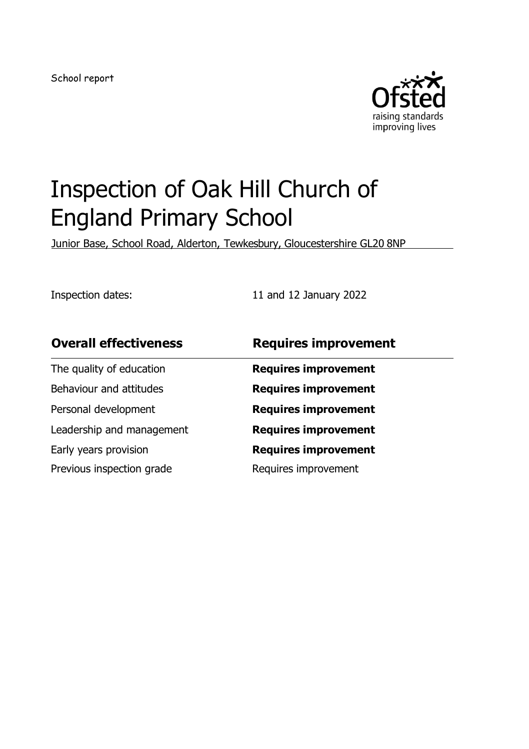School report



# Inspection of Oak Hill Church of England Primary School

Junior Base, School Road, Alderton, Tewkesbury, Gloucestershire GL20 8NP

Inspection dates: 11 and 12 January 2022

The quality of education **Requires improvement** Behaviour and attitudes **Requires improvement** Personal development **Requires improvement** Leadership and management **Requires improvement** Early years provision **Requires improvement** Previous inspection grade Requires improvement

#### **Overall effectiveness Requires improvement**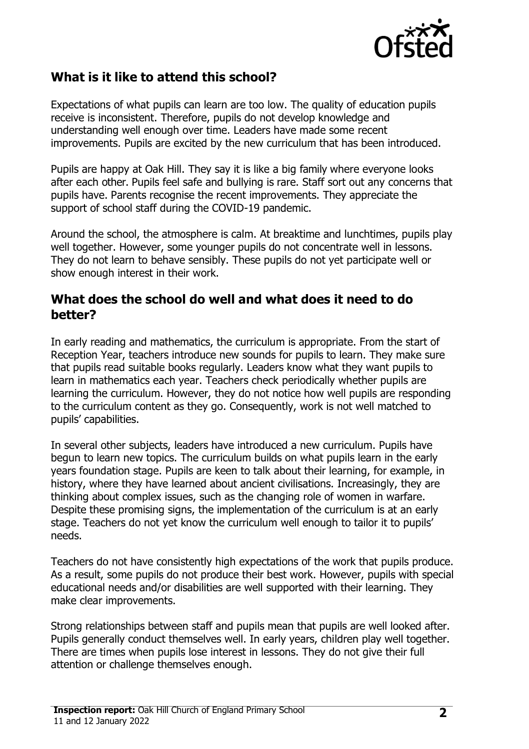

#### **What is it like to attend this school?**

Expectations of what pupils can learn are too low. The quality of education pupils receive is inconsistent. Therefore, pupils do not develop knowledge and understanding well enough over time. Leaders have made some recent improvements. Pupils are excited by the new curriculum that has been introduced.

Pupils are happy at Oak Hill. They say it is like a big family where everyone looks after each other. Pupils feel safe and bullying is rare. Staff sort out any concerns that pupils have. Parents recognise the recent improvements. They appreciate the support of school staff during the COVID-19 pandemic.

Around the school, the atmosphere is calm. At breaktime and lunchtimes, pupils play well together. However, some younger pupils do not concentrate well in lessons. They do not learn to behave sensibly. These pupils do not yet participate well or show enough interest in their work.

#### **What does the school do well and what does it need to do better?**

In early reading and mathematics, the curriculum is appropriate. From the start of Reception Year, teachers introduce new sounds for pupils to learn. They make sure that pupils read suitable books regularly. Leaders know what they want pupils to learn in mathematics each year. Teachers check periodically whether pupils are learning the curriculum. However, they do not notice how well pupils are responding to the curriculum content as they go. Consequently, work is not well matched to pupils' capabilities.

In several other subjects, leaders have introduced a new curriculum. Pupils have begun to learn new topics. The curriculum builds on what pupils learn in the early years foundation stage. Pupils are keen to talk about their learning, for example, in history, where they have learned about ancient civilisations. Increasingly, they are thinking about complex issues, such as the changing role of women in warfare. Despite these promising signs, the implementation of the curriculum is at an early stage. Teachers do not yet know the curriculum well enough to tailor it to pupils' needs.

Teachers do not have consistently high expectations of the work that pupils produce. As a result, some pupils do not produce their best work. However, pupils with special educational needs and/or disabilities are well supported with their learning. They make clear improvements.

Strong relationships between staff and pupils mean that pupils are well looked after. Pupils generally conduct themselves well. In early years, children play well together. There are times when pupils lose interest in lessons. They do not give their full attention or challenge themselves enough.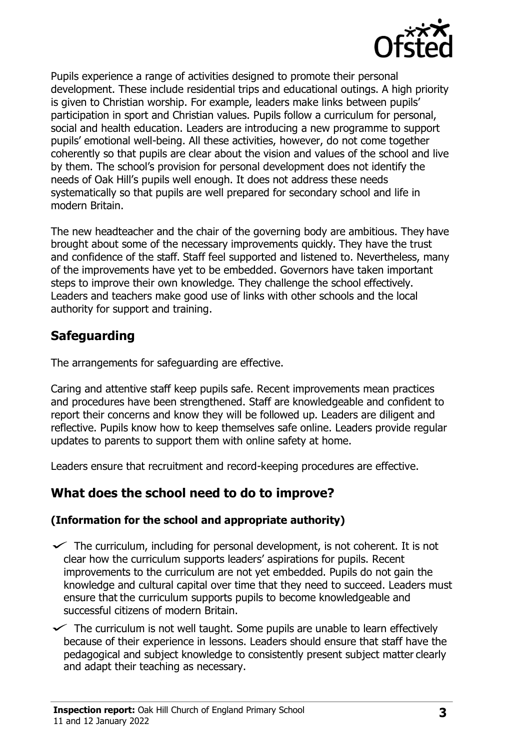

Pupils experience a range of activities designed to promote their personal development. These include residential trips and educational outings. A high priority is given to Christian worship. For example, leaders make links between pupils' participation in sport and Christian values. Pupils follow a curriculum for personal, social and health education. Leaders are introducing a new programme to support pupils' emotional well-being. All these activities, however, do not come together coherently so that pupils are clear about the vision and values of the school and live by them. The school's provision for personal development does not identify the needs of Oak Hill's pupils well enough. It does not address these needs systematically so that pupils are well prepared for secondary school and life in modern Britain.

The new headteacher and the chair of the governing body are ambitious. They have brought about some of the necessary improvements quickly. They have the trust and confidence of the staff. Staff feel supported and listened to. Nevertheless, many of the improvements have yet to be embedded. Governors have taken important steps to improve their own knowledge. They challenge the school effectively. Leaders and teachers make good use of links with other schools and the local authority for support and training.

#### **Safeguarding**

The arrangements for safeguarding are effective.

Caring and attentive staff keep pupils safe. Recent improvements mean practices and procedures have been strengthened. Staff are knowledgeable and confident to report their concerns and know they will be followed up. Leaders are diligent and reflective. Pupils know how to keep themselves safe online. Leaders provide regular updates to parents to support them with online safety at home.

Leaders ensure that recruitment and record-keeping procedures are effective.

#### **What does the school need to do to improve?**

#### **(Information for the school and appropriate authority)**

- $\checkmark$  The curriculum, including for personal development, is not coherent. It is not clear how the curriculum supports leaders' aspirations for pupils. Recent improvements to the curriculum are not yet embedded. Pupils do not gain the knowledge and cultural capital over time that they need to succeed. Leaders must ensure that the curriculum supports pupils to become knowledgeable and successful citizens of modern Britain.
- $\checkmark$  The curriculum is not well taught. Some pupils are unable to learn effectively because of their experience in lessons. Leaders should ensure that staff have the pedagogical and subject knowledge to consistently present subject matter clearly and adapt their teaching as necessary.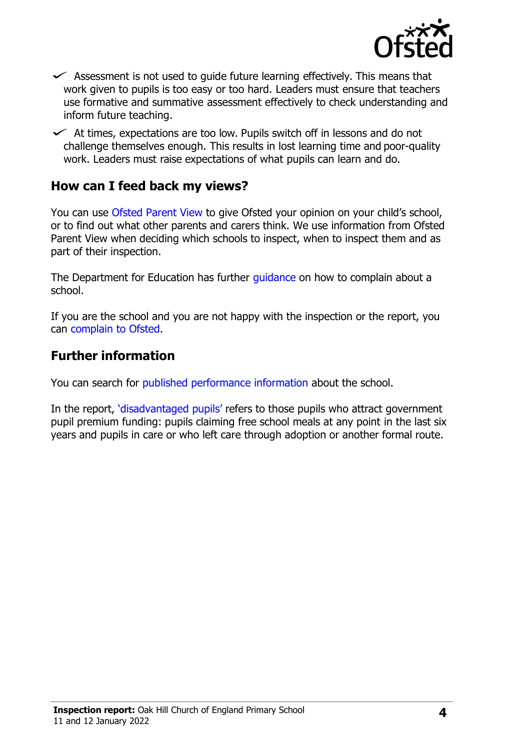

- $\checkmark$  Assessment is not used to quide future learning effectively. This means that work given to pupils is too easy or too hard. Leaders must ensure that teachers use formative and summative assessment effectively to check understanding and inform future teaching.
- $\checkmark$  At times, expectations are too low. Pupils switch off in lessons and do not challenge themselves enough. This results in lost learning time and poor-quality work. Leaders must raise expectations of what pupils can learn and do.

#### **How can I feed back my views?**

You can use [Ofsted Parent View](http://parentview.ofsted.gov.uk/) to give Ofsted your opinion on your child's school, or to find out what other parents and carers think. We use information from Ofsted Parent View when deciding which schools to inspect, when to inspect them and as part of their inspection.

The Department for Education has further quidance on how to complain about a school.

If you are the school and you are not happy with the inspection or the report, you can [complain to Ofsted.](http://www.gov.uk/complain-ofsted-report)

#### **Further information**

You can search for [published performance information a](http://www.compare-school-performance.service.gov.uk/)bout the school.

In the report, ['disadvantaged pupils'](http://www.gov.uk/guidance/pupil-premium-information-for-schools-and-alternative-provision-settings) refers to those pupils who attract government pupil premium funding: pupils claiming free school meals at any point in the last six years and pupils in care or who left care through adoption or another formal route.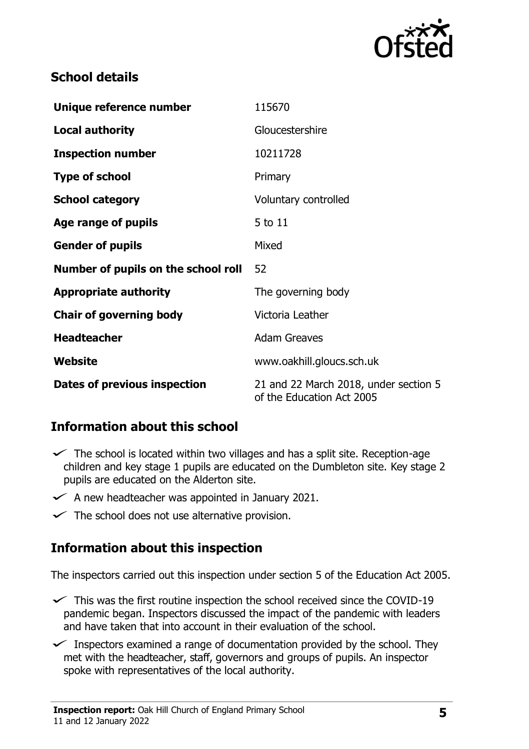

### **School details**

| Unique reference number             | 115670                                                             |
|-------------------------------------|--------------------------------------------------------------------|
| <b>Local authority</b>              | Gloucestershire                                                    |
| <b>Inspection number</b>            | 10211728                                                           |
| <b>Type of school</b>               | Primary                                                            |
| <b>School category</b>              | Voluntary controlled                                               |
| Age range of pupils                 | 5 to 11                                                            |
| <b>Gender of pupils</b>             | Mixed                                                              |
| Number of pupils on the school roll | 52                                                                 |
| <b>Appropriate authority</b>        | The governing body                                                 |
| <b>Chair of governing body</b>      | Victoria Leather                                                   |
| <b>Headteacher</b>                  | <b>Adam Greaves</b>                                                |
| Website                             | www.oakhill.gloucs.sch.uk                                          |
| <b>Dates of previous inspection</b> | 21 and 22 March 2018, under section 5<br>of the Education Act 2005 |

#### **Information about this school**

- $\checkmark$  The school is located within two villages and has a split site. Reception-age children and key stage 1 pupils are educated on the Dumbleton site. Key stage 2 pupils are educated on the Alderton site.
- $\checkmark$  A new headteacher was appointed in January 2021.
- $\checkmark$  The school does not use alternative provision.

#### **Information about this inspection**

The inspectors carried out this inspection under section 5 of the Education Act 2005.

- $\checkmark$  This was the first routine inspection the school received since the COVID-19 pandemic began. Inspectors discussed the impact of the pandemic with leaders and have taken that into account in their evaluation of the school.
- $\checkmark$  Inspectors examined a range of documentation provided by the school. They met with the headteacher, staff, governors and groups of pupils. An inspector spoke with representatives of the local authority.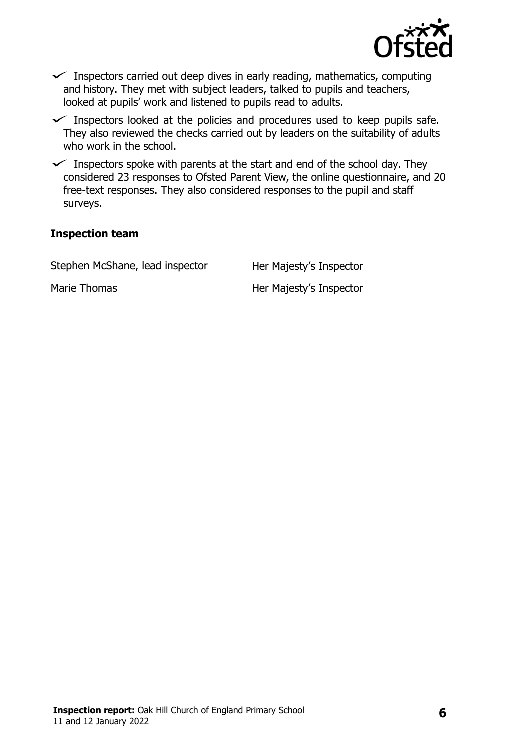

- $\checkmark$  Inspectors carried out deep dives in early reading, mathematics, computing and history. They met with subject leaders, talked to pupils and teachers, looked at pupils' work and listened to pupils read to adults.
- $\checkmark$  Inspectors looked at the policies and procedures used to keep pupils safe. They also reviewed the checks carried out by leaders on the suitability of adults who work in the school.
- $\checkmark$  Inspectors spoke with parents at the start and end of the school day. They considered 23 responses to Ofsted Parent View, the online questionnaire, and 20 free-text responses. They also considered responses to the pupil and staff surveys.

#### **Inspection team**

Stephen McShane, lead inspector Her Majesty's Inspector

Marie Thomas **Her Majesty's Inspector**